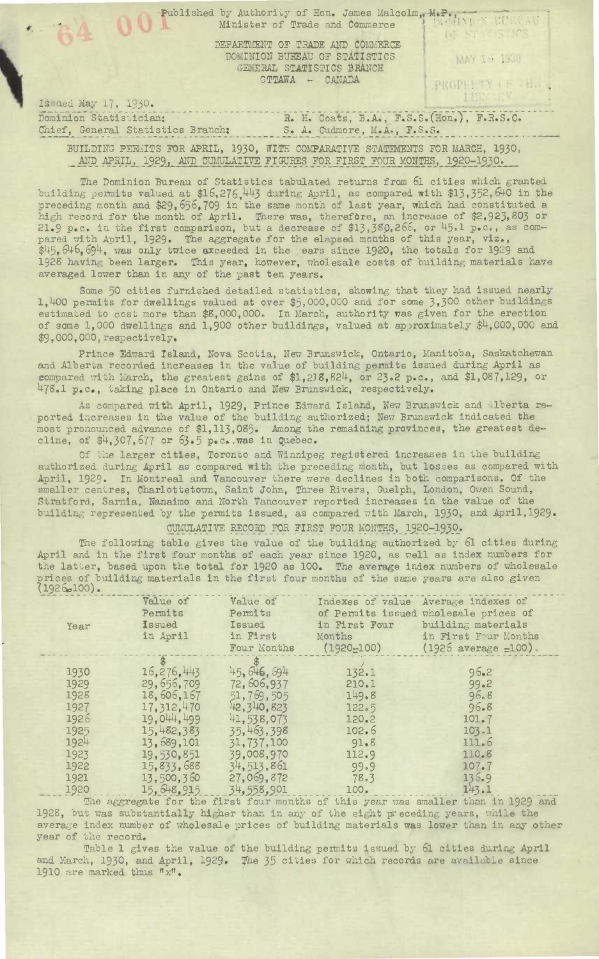Published by Authority of Hon. James Malcolm, M.P. William Minister of Trade and Commerce

## DEPARTMENT OF TRADE AND COMMERCE DOMINION BUREAU OF STATISTICS GENERAL STATISTICS BRANCH OTTAWA - CANADA

MAY 19 1930

PROPERTY OF BELL

UESE TE ICS

Issued May 17, 1930. Dominion Statistician: Chief, General Statistics Branch:

64

R. H. Coats, B.A., F.S.S. (Hon.), F.R.S.C. S. A. Cudmore, M.A., F.S.S.

BUILDING PERMITS FOR APRIL, 1930, WITH COMPARATIVE STATEMENTS FOR MARCH, 1930, AND APRIL, 1929, AND CUMULATIVE FIGURES FOR FIRST FOUR MONTHS, 1920-1930.

The Dominion Bureau of Statistics tabulated returns from 61 cities which granted building permits valued at \$16,276,443 during April, as compared with \$13,352,640 in the<br>preceding month and \$29,656,709 in the same month of last year, which had constituted a<br>high record for the month of April. There wa pared with April, 1929. The aggregate for the elapsed months of this year, viz.,  $$45,646,694$ , was only twice axceeded in the ears since 1920, the totals for 1929 and 1928 having been larger. This year, however, wholesale costs of building materials have averaged lower than in any of the past ten years.

Some 50 cities furnished detailed statistics, showing that they had issued nearly 1,400 permits for dwellings valued at over \$5,000,000 and for some 3,300 other buildings estimated to cost more than \$8,000,000. In March, authority was given for the erection of some 1,000 dwellings and 1,900 other buildings, valued at approximately \$4,000,000 and \$9,000,000, respectively.

Prince Edward Island, Nova Scotia, New Brunswick, Ontario, Manitoba, Saskatchewan and Alberta recorded increases in the value of building permits issued during April as compared with March, the greatest gains of \$1,218,824, or 23.2 p.c., and \$1,087,129, or 478.1 p.c., taking place in Ontario and New Brunswick, respectively.

As compared with April, 1929, Prince Edward Island, New Brunswick and alberta re-<br>ported increases in the value of the building authorized; New Brunswick indicated the<br>most pronounced advance of \$1,113,085. Among the remai

Of the larger cities, Toronto and Winnipeg registered increases in the building authorized during April as compared with the preceding month, but losses as compared with April, 1929. In Montreal and Vancouver there were declines in both comparisons. Of the smaller centres, Charlottetown, Saint John, Three Rivers, Guelph, London, Owen Sound, Stratford, Sarnia, Nanaimo and North Vancouver reported increases in the value of the building represented by the permits issued, as compared with March, 1930, and April, 1929.

CUMULATIVE RECORD FOR FIRST FOUR MONTHS, 1920-1930.

The following table gives the value of the building authorized by 61 cities during April and in the first four months of each year since 1920, as well as index numbers for the latter, based upon the total for 1920 as 100. The average index numbers of wholesale prices of building materials in the first four months of the same years are also given (1926-100).

| Year | Value of<br>Permits<br>Issued<br>in April | Value of<br>Permits<br>Issued<br>in First<br>Four Months | Indexes of value<br>in First Four<br>Months<br>$(1920 - 100)$ | Average indexes of<br>of Permits issued wholesale prices of<br>building materials<br>in First Four Months<br>$(1925 \text{ average } = 100)$ , |
|------|-------------------------------------------|----------------------------------------------------------|---------------------------------------------------------------|------------------------------------------------------------------------------------------------------------------------------------------------|
| 1930 | 16,276,443                                | 45, 646, 694                                             | 132.1                                                         | $96 - 2$                                                                                                                                       |
| 1929 | 29, 656, 709                              | 72,606.937                                               | 210.1                                                         | 99.2                                                                                                                                           |
| 1928 | 18, 606, 167                              | 51,769,505                                               | 149.8                                                         | 96.8                                                                                                                                           |
| 1927 | 17.312,470                                | 42, 340, 823                                             | 122.5                                                         | 96.8                                                                                                                                           |
| 1926 | 19,044,499                                | 41,538,073                                               | 120.2                                                         | 101.7                                                                                                                                          |
| 1925 | 15,482,383                                | 35, 463, 398                                             | 102.6                                                         | 103.1                                                                                                                                          |
| 1924 | 13, 689, 101                              | 31,737,100                                               | 91.8                                                          | 111.6                                                                                                                                          |
| 1923 | 19,530,851                                | 39,008,970                                               | 112.9                                                         | 110.8                                                                                                                                          |
| 1922 | 15,833,688                                | 34, 513, 861                                             | 99.9                                                          | 107.7                                                                                                                                          |
| 1921 | 13,500,360                                | 27,069,872                                               | 78.3                                                          | 135.9                                                                                                                                          |
| 1920 | 15.648.915                                | 34,558,901                                               | 100.                                                          | 143.1                                                                                                                                          |

The aggregate for the first four months of this year was smaller than in 1929 and 1928, but was substantially higher than in any of the eight preceding years, while the average index number of wholesale prices of building materials was lower than in any other year of the record.

Table 1 gives the value of the building permits issued by 61 cities during April and March, 1930, and April, 1929. The 35 cities for which records are available since 1910 are marked thus  $"\pi"$ .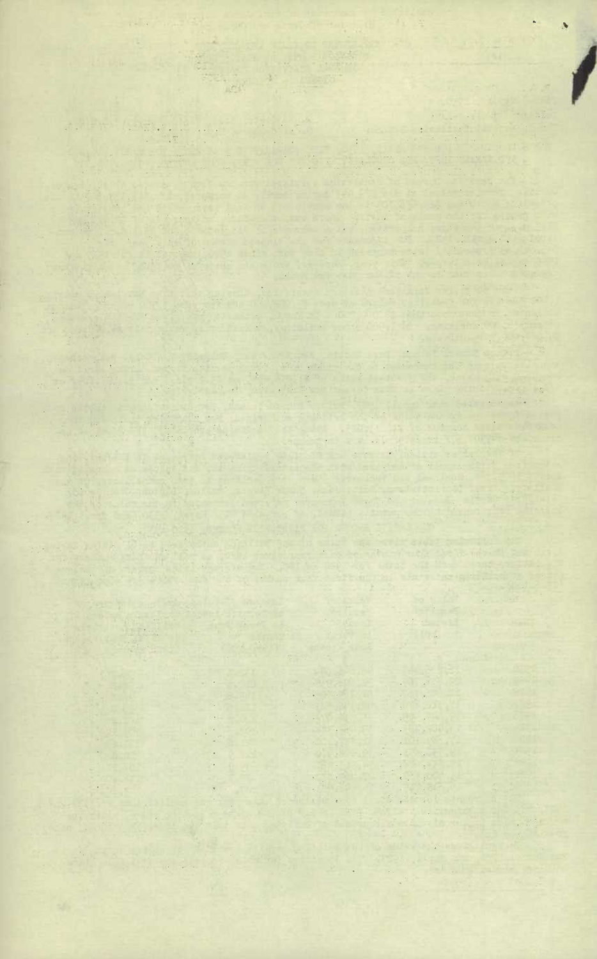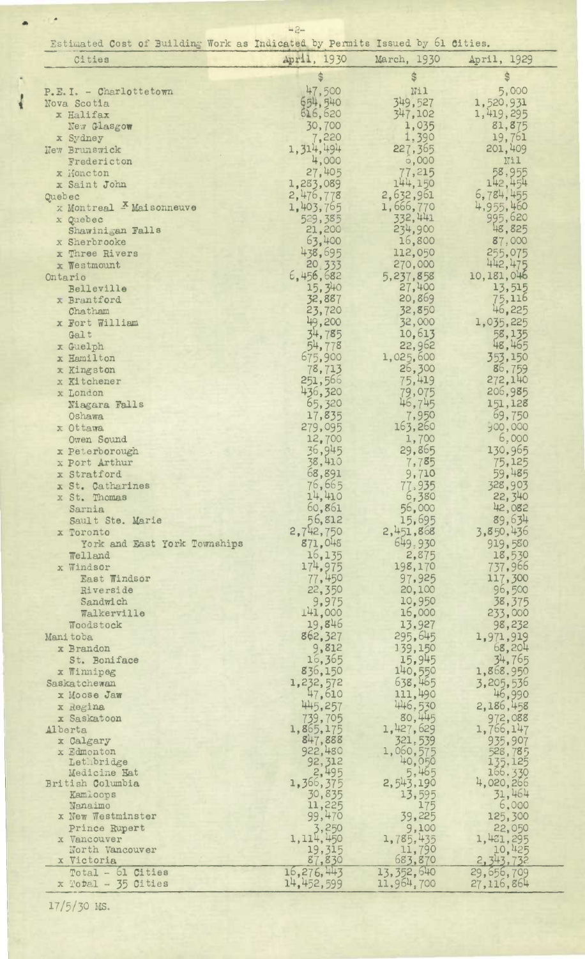| Cities                               | April, 1930           | March, 1930           | April, 1929         |
|--------------------------------------|-----------------------|-----------------------|---------------------|
|                                      | \$                    | \$                    |                     |
| P.E.I. - Charlottetown               | 47,500                | Nil                   | 5,000               |
| Nova Scotia                          | 654,540               | 349,527               | 1,520,931           |
| x Halifax                            | 616,620               | 347,102               | 1, 419, 295         |
| New Glasgow                          | 30,700                | 1,035                 | 81,875              |
| x Sydney                             | 7,220                 | 1,390                 | 19,761              |
| New Brunswick                        | 1, 314, 494           | 227, 365              | 201,409             |
| Fredericton                          | 4,000<br>27,405       | 6,000                 | Nil<br>58,955       |
| x Honcton<br>x Saint John            | 1,283,089             | 77,215<br>144, 150    | 142,454             |
| Quebec                               | 2,476,778             | 2,632,961             | 6,784,455           |
| x Montreal $\frac{x}{x}$ Maisonneuve | 1,403,765             | 1,666,770             | 4,955,460           |
| x Quebec                             | 529,385               | 332,441               | 995,620             |
| Shawinigan Falls                     | 21,200                | 234,900               | 48,825              |
| x Sherbrooke                         | 63,400                | 16,800                | 87,000              |
| x Three Rivers                       | 438,695               | 112,050               | 255,075             |
| x Westmount                          | 20 333                | 270,000               | 442,475             |
| Ontario                              | 6,456,682             | 5,237,858             | 10, 181, 046        |
| Belleville                           | 15, 340               | 27,400<br>20,869      | 13,515<br>75,116    |
| x Brantford<br>Chatham               | 32,887<br>23,720      | 32,850                | 46,225              |
| x Fort William                       | 49,200                | 32,000                | 1,035,225           |
| Galt                                 | 34,785                | 10,613                | 58,135              |
| x Guelph                             | 54,778                | 22,962                | 48,465              |
| x Hamilton                           | 675,900               | 1,025,600             | 353,150             |
| x Kingston                           | 78,713                | 26,300                | 86,759              |
| x Kitchener                          | 251,566               | 75,419                | 272,140             |
| x London                             | 436,320               | 79,075                | 206,985             |
| Niagara Falls                        | 65,320                | 46,745                | 151,128             |
| Oshawa                               | 17,835                | 7,950                 | 69,750              |
| x Ottawa                             | 279,095               | 163,260               | 900,000             |
| Owen Sound                           | 12,700                | 1,700                 | 6,000               |
| x Peterborough<br>x Port Arthur      | 36,945<br>38,410      | 29,865<br>7,785       | 130,965<br>75,125   |
| x Stratford                          | 68,891                | 9,710                 | 59,485              |
| x St. Catharines                     | 76,665                | 77,935                | 328,903             |
| x St. Thomas                         | 14,410                | 6,380                 | 22, 340             |
| Sarnia                               | 60,861                | 56,000                | 42,082              |
| Sault Ste. Marie                     | 56,812                | 15,695                | 89,634              |
| x Toronto                            | 2,742,750             | 2,451,868             | 3,850,436           |
| York and East York Townships         | 871,048               | 649.930               | 919,580             |
| Welland                              | 16,135                | 2,875                 | 18,530              |
| x Windsor                            | 174,975               | 198,170               | 737,966             |
| East Windsor                         | 77,450                | 97,925                | 117,300             |
| Riverside                            | 22,350                | 20,100<br>10,950      | 96,500              |
| Sandwich<br>Walkerville              | 9,975<br>141,000      | 16,000                | 38,375<br>233,000   |
| Woodstock                            | 19,846                | 13,927                | 98,232              |
| Mani toba                            | 862,327               | 295,645               | 1,971,919           |
| x Brandon                            | 9,812                 | 139,150               | 68,204              |
| St. Boniface                         | 16,365                | 15,945                | 34,765              |
| x Winnipeg                           | 836,150               | 140,550               | 1,868,950           |
| Saskatchewan                         | 1,232,572             | 638,465               | 3,205,536           |
| x Moose Jaw                          | 47,610                | 111,490               | 46,990              |
| x Regina                             | 445,257               | 446.530               | 2,186,458           |
| x Saskatoon                          | 739,705               | 80,445                | 972,088             |
| Alberta                              | 1,865,175             | 1,427,629             | 1,766,147           |
| x Calgary<br>x Edmonton              | 847,888<br>922,480    | 321, 539<br>1,060,575 | 935,907<br>528,785  |
| Lethbridge                           |                       | 40,050                | 135,125             |
| Medicine Hat                         | 92, 312<br>2, 495     | 5,465                 | 166.330             |
| British Columbia                     | 1,366,375             | 2,543,190             | 4,020,266           |
| Kamloops                             | 30,835                | 13,595                | 31,464              |
| Nanaimo                              | 11,225                | 175                   | 6,000               |
| x New Westminster                    | 99,470                | 39,225                | 125,300             |
| Prince Rupert                        | 3,250                 | 9,100                 | 22,050<br>1,431,295 |
| x Vancouver<br>North Vancouver       | 1, 114, 450<br>19,315 | 1,785,435<br>11,790   | 10,425              |
| x Victoria                           | 87,830                | 683,870               | 2, 343, 732         |
| Total - 61 Cities                    | 16,276,443            | 13, 352, 640          | 29,656,709          |
| $x$ Tobal - 35 Cities                | 14.452.599            | 11.964.700            | 27.116.864          |

17/5/30 MS.

×

 $\overline{\mathbf{a}}$